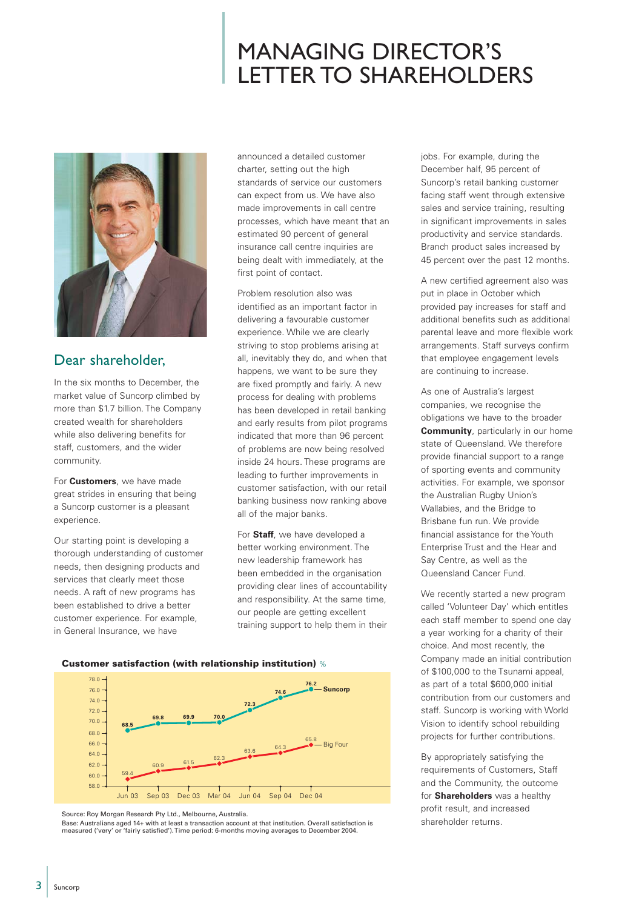# MANAGING DIRECTOR'S LETTER TO SHAREHOLDERS



### Dear shareholder,

In the six months to December, the market value of Suncorp climbed by more than \$1.7 billion. The Company created wealth for shareholders while also delivering benefits for staff, customers, and the wider community.

For **Customers**, we have made great strides in ensuring that being a Suncorp customer is a pleasant experience.

Our starting point is developing a thorough understanding of customer needs, then designing products and services that clearly meet those needs. A raft of new programs has been established to drive a better customer experience. For example, in General Insurance, we have

announced a detailed customer charter, setting out the high standards of service our customers can expect from us. We have also made improvements in call centre processes, which have meant that an estimated 90 percent of general insurance call centre inquiries are being dealt with immediately, at the first point of contact.

Problem resolution also was identified as an important factor in delivering a favourable customer experience. While we are clearly striving to stop problems arising at all, inevitably they do, and when that happens, we want to be sure they are fixed promptly and fairly. A new process for dealing with problems has been developed in retail banking and early results from pilot programs indicated that more than 96 percent of problems are now being resolved inside 24 hours. These programs are leading to further improvements in customer satisfaction, with our retail banking business now ranking above all of the major banks.

For **Staff**, we have developed a better working environment. The new leadership framework has been embedded in the organisation providing clear lines of accountability and responsibility. At the same time, our people are getting excellent training support to help them in their

**Customer satisfaction (with relationship institution)** %



Source: Roy Morgan Research Pty Ltd., Melbourne, Australia.

Base: Australians aged 14+ with at least a transaction account at that institution. Overall satisfaction is measured ('very' or 'fairly satisfied'). Time period: 6-months moving averages to December 2004.

jobs. For example, during the December half, 95 percent of Suncorp's retail banking customer facing staff went through extensive sales and service training, resulting in significant improvements in sales productivity and service standards. Branch product sales increased by 45 percent over the past 12 months.

A new certified agreement also was put in place in October which provided pay increases for staff and additional benefits such as additional parental leave and more flexible work arrangements. Staff surveys confirm that employee engagement levels are continuing to increase.

As one of Australia's largest companies, we recognise the obligations we have to the broader **Community**, particularly in our home state of Queensland. We therefore provide financial support to a range of sporting events and community activities. For example, we sponsor the Australian Rugby Union's Wallabies, and the Bridge to Brisbane fun run. We provide financial assistance for the Youth Enterprise Trust and the Hear and Say Centre, as well as the Queensland Cancer Fund.

We recently started a new program called 'Volunteer Day' which entitles each staff member to spend one day a year working for a charity of their choice. And most recently, the Company made an initial contribution of \$100,000 to the Tsunami appeal, as part of a total \$600,000 initial contribution from our customers and staff. Suncorp is working with World Vision to identify school rebuilding projects for further contributions.

By appropriately satisfying the requirements of Customers, Staff and the Community, the outcome for **Shareholders** was a healthy profit result, and increased shareholder returns.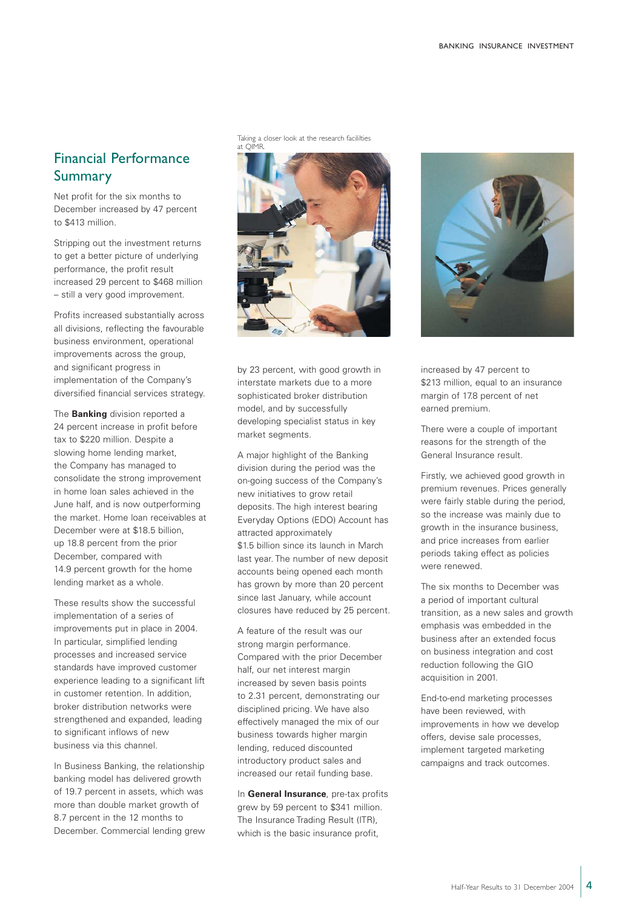## Financial Performance Summary

Net profit for the six months to December increased by 47 percent to \$413 million.

Stripping out the investment returns to get a better picture of underlying performance, the profit result increased 29 percent to \$468 million – still a very good improvement.

Profits increased substantially across all divisions, reflecting the favourable business environment, operational improvements across the group, and significant progress in implementation of the Company's diversified financial services strategy.

The **Banking** division reported a 24 percent increase in profit before tax to \$220 million. Despite a slowing home lending market, the Company has managed to consolidate the strong improvement in home loan sales achieved in the June half, and is now outperforming the market. Home loan receivables at December were at \$18.5 billion, up 18.8 percent from the prior December, compared with 14.9 percent growth for the home lending market as a whole.

These results show the successful implementation of a series of improvements put in place in 2004. In particular, simplified lending processes and increased service standards have improved customer experience leading to a significant lift in customer retention. In addition, broker distribution networks were strengthened and expanded, leading to significant inflows of new business via this channel.

In Business Banking, the relationship banking model has delivered growth of 19.7 percent in assets, which was more than double market growth of 8.7 percent in the 12 months to December. Commercial lending grew Taking a closer look at the research facililties at QIMR.



by 23 percent, with good growth in interstate markets due to a more sophisticated broker distribution model, and by successfully developing specialist status in key market segments.

A major highlight of the Banking division during the period was the on-going success of the Company's new initiatives to grow retail deposits. The high interest bearing Everyday Options (EDO) Account has attracted approximately \$1.5 billion since its launch in March last year. The number of new deposit accounts being opened each month has grown by more than 20 percent since last January, while account closures have reduced by 25 percent.

A feature of the result was our strong margin performance. Compared with the prior December half, our net interest margin increased by seven basis points to 2.31 percent, demonstrating our disciplined pricing. We have also effectively managed the mix of our business towards higher margin lending, reduced discounted introductory product sales and increased our retail funding base.

In **General Insurance**, pre-tax profits grew by 59 percent to \$341 million. The Insurance Trading Result (ITR), which is the basic insurance profit,



increased by 47 percent to \$213 million, equal to an insurance margin of 17.8 percent of net earned premium.

There were a couple of important reasons for the strength of the General Insurance result.

Firstly, we achieved good growth in premium revenues. Prices generally were fairly stable during the period, so the increase was mainly due to growth in the insurance business, and price increases from earlier periods taking effect as policies were renewed.

The six months to December was a period of important cultural transition, as a new sales and growth emphasis was embedded in the business after an extended focus on business integration and cost reduction following the GIO acquisition in 2001.

End-to-end marketing processes have been reviewed, with improvements in how we develop offers, devise sale processes, implement targeted marketing campaigns and track outcomes.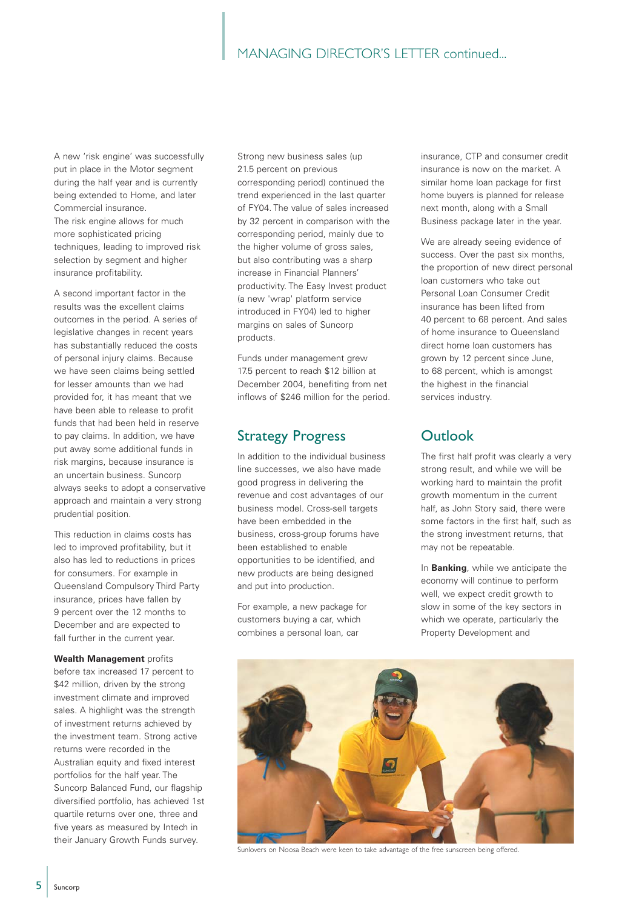#### MANAGING DIRECTOR'S LETTER continued...

A new 'risk engine' was successfully put in place in the Motor segment during the half year and is currently being extended to Home, and later Commercial insurance. The risk engine allows for much

more sophisticated pricing techniques, leading to improved risk selection by segment and higher insurance profitability.

A second important factor in the results was the excellent claims outcomes in the period. A series of legislative changes in recent years has substantially reduced the costs of personal injury claims. Because we have seen claims being settled for lesser amounts than we had provided for, it has meant that we have been able to release to profit funds that had been held in reserve to pay claims. In addition, we have put away some additional funds in risk margins, because insurance is an uncertain business. Suncorp always seeks to adopt a conservative approach and maintain a very strong prudential position.

This reduction in claims costs has led to improved profitability, but it also has led to reductions in prices for consumers. For example in Queensland Compulsory Third Party insurance, prices have fallen by 9 percent over the 12 months to December and are expected to fall further in the current year.

**Wealth Management** profits before tax increased 17 percent to \$42 million, driven by the strong investment climate and improved sales. A highlight was the strength of investment returns achieved by the investment team. Strong active returns were recorded in the Australian equity and fixed interest portfolios for the half year. The Suncorp Balanced Fund, our flagship diversified portfolio, has achieved 1st quartile returns over one, three and five years as measured by Intech in their January Growth Funds survey.

Strong new business sales (up 21.5 percent on previous corresponding period) continued the trend experienced in the last quarter of FY04. The value of sales increased by 32 percent in comparison with the corresponding period, mainly due to the higher volume of gross sales, but also contributing was a sharp increase in Financial Planners' productivity. The Easy Invest product (a new 'wrap' platform service introduced in FY04) led to higher margins on sales of Suncorp products.

Funds under management grew 17.5 percent to reach \$12 billion at December 2004, benefiting from net inflows of \$246 million for the period.

### Strategy Progress

In addition to the individual business line successes, we also have made good progress in delivering the revenue and cost advantages of our business model. Cross-sell targets have been embedded in the business, cross-group forums have been established to enable opportunities to be identified, and new products are being designed and put into production.

For example, a new package for customers buying a car, which combines a personal loan, car

insurance, CTP and consumer credit insurance is now on the market. A similar home loan package for first home buyers is planned for release next month, along with a Small Business package later in the year.

We are already seeing evidence of success. Over the past six months, the proportion of new direct personal loan customers who take out Personal Loan Consumer Credit insurance has been lifted from 40 percent to 68 percent. And sales of home insurance to Queensland direct home loan customers has grown by 12 percent since June, to 68 percent, which is amongst the highest in the financial services industry.

#### **Outlook**

The first half profit was clearly a very strong result, and while we will be working hard to maintain the profit growth momentum in the current half, as John Story said, there were some factors in the first half, such as the strong investment returns, that may not be repeatable.

In **Banking**, while we anticipate the economy will continue to perform well, we expect credit growth to slow in some of the key sectors in which we operate, particularly the Property Development and



Sunlovers on Noosa Beach were keen to take advantage of the free sunscreen being offered.